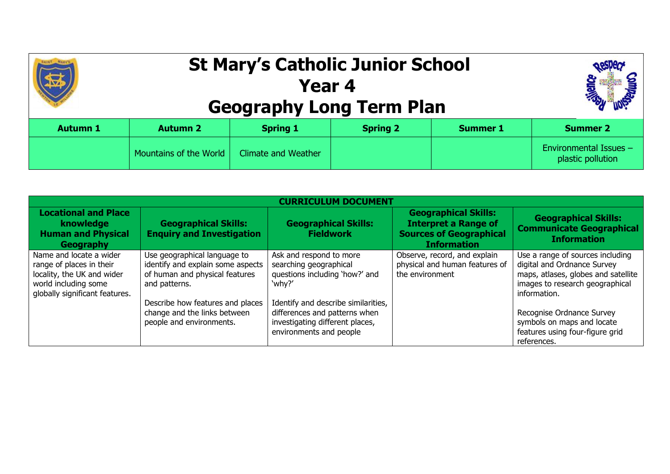## **St Mary's Catholic Junior School Year 4 Geography Long Term Plan**



| <b>Autumn 1</b> | <b>Autumn 2</b>        | <b>Spring 1</b>            | <b>Spring 2</b> | <b>Summer 1</b> | <b>Summer 2</b>                                    |
|-----------------|------------------------|----------------------------|-----------------|-----------------|----------------------------------------------------|
|                 | Mountains of the World | <b>Climate and Weather</b> |                 |                 | <b>Environmental Issues -</b><br>plastic pollution |

| <b>Locational and Place</b><br>knowledge<br><b>Human and Physical</b><br>Geography                                                          | <b>Geographical Skills:</b><br><b>Enquiry and Investigation</b>                                                                                                                                                      | <b>Geographical Skills:</b><br><b>Fieldwork</b>                                                                                                                                                                                     | <b>Geographical Skills:</b><br><b>Interpret a Range of</b><br><b>Sources of Geographical</b><br><b>Information</b> | <b>Geographical Skills:</b><br><b>Communicate Geographical</b><br><b>Information</b>                                                                                                                                                                                   |  |
|---------------------------------------------------------------------------------------------------------------------------------------------|----------------------------------------------------------------------------------------------------------------------------------------------------------------------------------------------------------------------|-------------------------------------------------------------------------------------------------------------------------------------------------------------------------------------------------------------------------------------|--------------------------------------------------------------------------------------------------------------------|------------------------------------------------------------------------------------------------------------------------------------------------------------------------------------------------------------------------------------------------------------------------|--|
| Name and locate a wider<br>range of places in their<br>locality, the UK and wider<br>world including some<br>globally significant features. | Use geographical language to<br>identify and explain some aspects<br>of human and physical features<br>and patterns.<br>Describe how features and places<br>change and the links between<br>people and environments. | Ask and respond to more<br>searching geographical<br>questions including 'how?' and<br>'why?'<br>Identify and describe similarities,<br>differences and patterns when<br>investigating different places,<br>environments and people | Observe, record, and explain<br>physical and human features of<br>the environment                                  | Use a range of sources including<br>digital and Ordnance Survey<br>maps, atlases, globes and satellite<br>images to research geographical<br>information.<br>Recognise Ordnance Survey<br>symbols on maps and locate<br>features using four-figure grid<br>references. |  |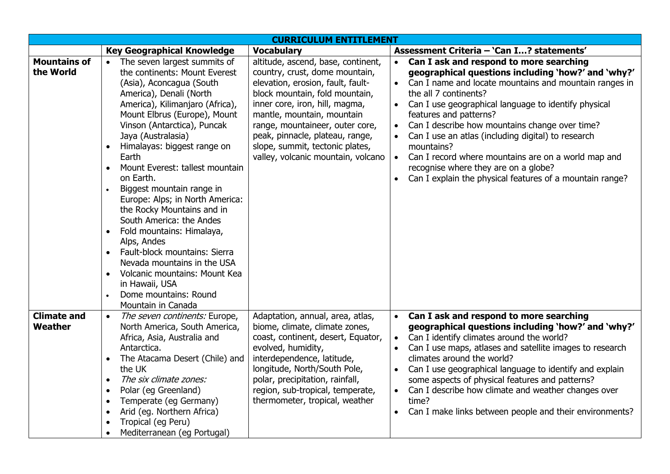| <b>CURRICULUM ENTITLEMENT</b>    |                                                                                                                                                                                                                                                                                                                                                                                                                                                                                                                                                                                                                                                                                                                                      |                                                                                                                                                                                                                                                                                                                                                            |                                                                                                                                                                                                                                                                                                                                                                                                                                                                                                                                                                                                         |  |
|----------------------------------|--------------------------------------------------------------------------------------------------------------------------------------------------------------------------------------------------------------------------------------------------------------------------------------------------------------------------------------------------------------------------------------------------------------------------------------------------------------------------------------------------------------------------------------------------------------------------------------------------------------------------------------------------------------------------------------------------------------------------------------|------------------------------------------------------------------------------------------------------------------------------------------------------------------------------------------------------------------------------------------------------------------------------------------------------------------------------------------------------------|---------------------------------------------------------------------------------------------------------------------------------------------------------------------------------------------------------------------------------------------------------------------------------------------------------------------------------------------------------------------------------------------------------------------------------------------------------------------------------------------------------------------------------------------------------------------------------------------------------|--|
|                                  | <b>Key Geographical Knowledge</b>                                                                                                                                                                                                                                                                                                                                                                                                                                                                                                                                                                                                                                                                                                    | <b>Vocabulary</b>                                                                                                                                                                                                                                                                                                                                          | Assessment Criteria - 'Can I? statements'                                                                                                                                                                                                                                                                                                                                                                                                                                                                                                                                                               |  |
| <b>Mountains of</b><br>the World | • The seven largest summits of<br>the continents: Mount Everest<br>(Asia), Aconcagua (South<br>America), Denali (North<br>America), Kilimanjaro (Africa),<br>Mount Elbrus (Europe), Mount<br>Vinson (Antarctica), Puncak<br>Jaya (Australasia)<br>Himalayas: biggest range on<br>Earth<br>Mount Everest: tallest mountain<br>$\bullet$<br>on Earth.<br>Biggest mountain range in<br>Europe: Alps; in North America:<br>the Rocky Mountains and in<br>South America: the Andes<br>Fold mountains: Himalaya,<br>$\bullet$<br>Alps, Andes<br>• Fault-block mountains: Sierra<br>Nevada mountains in the USA<br>Volcanic mountains: Mount Kea<br>$\bullet$<br>in Hawaii, USA<br>Dome mountains: Round<br>$\bullet$<br>Mountain in Canada | altitude, ascend, base, continent,<br>country, crust, dome mountain,<br>elevation, erosion, fault, fault-<br>block mountain, fold mountain,<br>inner core, iron, hill, magma,<br>mantle, mountain, mountain<br>range, mountaineer, outer core,<br>peak, pinnacle, plateau, range,<br>slope, summit, tectonic plates,<br>valley, volcanic mountain, volcano | Can I ask and respond to more searching<br>$\bullet$<br>geographical questions including 'how?' and 'why?'<br>Can I name and locate mountains and mountain ranges in<br>$\bullet$<br>the all 7 continents?<br>Can I use geographical language to identify physical<br>$\bullet$<br>features and patterns?<br>Can I describe how mountains change over time?<br>Can I use an atlas (including digital) to research<br>mountains?<br>Can I record where mountains are on a world map and<br>$\bullet$<br>recognise where they are on a globe?<br>Can I explain the physical features of a mountain range? |  |
| <b>Climate and</b><br>Weather    | The seven continents: Europe,<br>$\bullet$<br>North America, South America,<br>Africa, Asia, Australia and<br>Antarctica.<br>The Atacama Desert (Chile) and<br>$\bullet$<br>the UK<br>The six climate zones:<br>$\bullet$<br>Polar (eg Greenland)<br>$\bullet$<br>Temperate (eg Germany)<br>$\bullet$<br>Arid (eg. Northern Africa)<br>$\bullet$<br>Tropical (eg Peru)<br>Mediterranean (eg Portugal)                                                                                                                                                                                                                                                                                                                                | Adaptation, annual, area, atlas,<br>biome, climate, climate zones,<br>coast, continent, desert, Equator,<br>evolved, humidity,<br>interdependence, latitude,<br>longitude, North/South Pole,<br>polar, precipitation, rainfall,<br>region, sub-tropical, temperate,<br>thermometer, tropical, weather                                                      | Can I ask and respond to more searching<br>$\bullet$<br>geographical questions including 'how?' and 'why?'<br>Can I identify climates around the world?<br>$\bullet$<br>Can I use maps, atlases and satellite images to research<br>climates around the world?<br>Can I use geographical language to identify and explain<br>some aspects of physical features and patterns?<br>Can I describe how climate and weather changes over<br>time?<br>Can I make links between people and their environments?                                                                                                 |  |